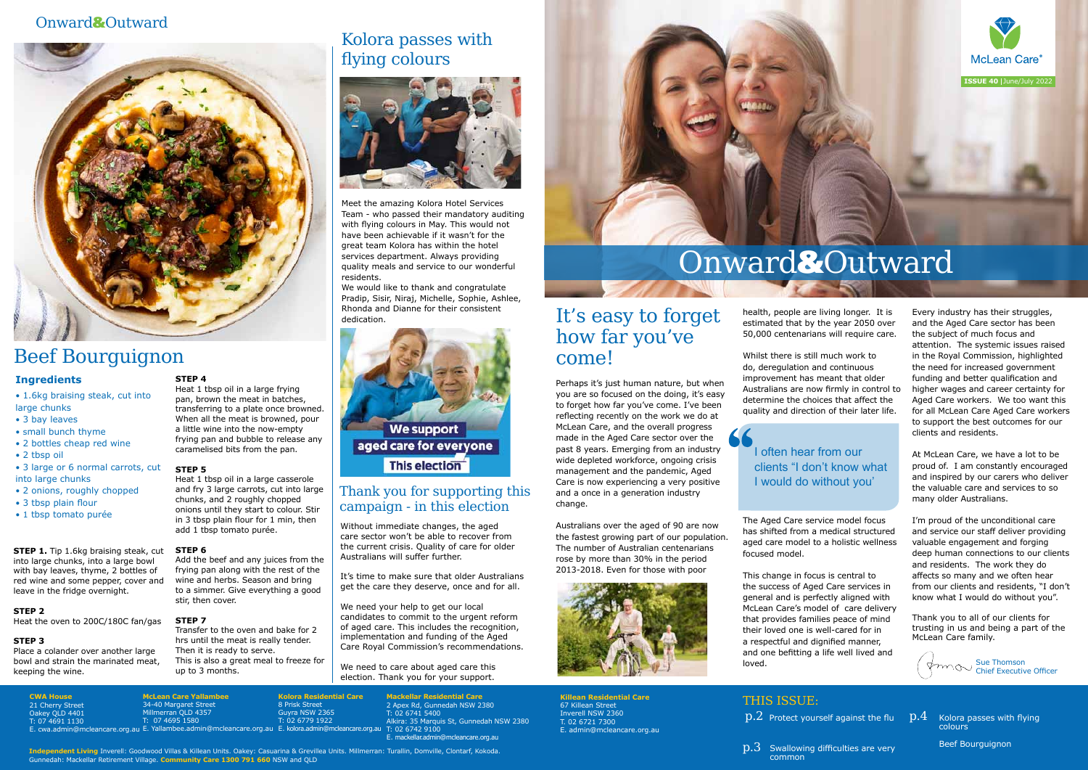**CWA House**

**Mackellar Residential Care** 2 Apex Rd, Gunnedah NSW 2380 T: 02 6741 5400 Alkira: 35 Marquis St, Gunnedah NSW 2380 T: 02 6742 9100 E. mackellar.admin@mcleancare.org.au

**McLean Care Yallambee** 34-40 Margaret Stree erran QLD 4357 T: 07 4695 1580

8 Prisk Street Guyra NSW 2365  $02$  6779 1922

21 Cherry Street Oakey QLD 4401 T: 07 4691 1130 E. cwa.admin@mcleancare.org.au E. Yallambee.admin@mcleancare.org.au E. kolora.admin@mcleancare.org.au

**Killean Residential Care** 67 Killean Street Inverell NSW 2360 T. 02 6721 7300 E. admin@mcleancare.org.au

> $\rm p.3$  Swallowing difficulties are very common

**Kolora Residential Care**

## THIS ISSUE:

 $\rm p.2$  Protect yourself against the flu  $\rm p.4$  Kolora passes with flying

colours

Beef Bourguignon

## It's easy to forget how far you've come!

Perhaps it's just human nature, but when you are so focused on the doing, it's easy to forget how far you've come. I've been reflecting recently on the work we do at McLean Care, and the overall progress made in the Aged Care sector over the past 8 years. Emerging from an industry wide depleted workforce, ongoing crisis management and the pandemic, Aged Care is now experiencing a very positive and a once in a generation industry change.

Australians over the aged of 90 are now the fastest growing part of our population. The number of Australian centenarians rose by more than 30% in the period 2013-2018. Even for those with poor



health, people are living longer. It is estimated that by the year 2050 over 50,000 centenarians will require care.

Whilst there is still much work to do, deregulation and continuous improvement has meant that older determine the choices that affect the

Australians are now firmly in control to quality and direction of their later life.

The Aged Care service model focus has shifted from a medical structured aged care model to a holistic wellness focused model.

This change in focus is central to the success of Aged Care services in general and is perfectly aligned with McLean Care's model of care delivery that provides families peace of mind their loved one is well-cared for in a respectful and dignified manner, and one befitting a life well lived and loved.

**STEP 1.** Tip 1.6kg braising steak, cut into large chunks, into a large bowl with bay leaves, thyme, 2 bottles of red wine and some pepper, cover and leave in the fridge overnight.

Every industry has their struggles, and the Aged Care sector has been the subject of much focus and attention. The systemic issues raised in the Royal Commission, highlighted the need for increased government funding and better qualification and higher wages and career certainty for Aged Care workers. We too want this for all McLean Care Aged Care workers to support the best outcomes for our clients and residents.

At McLean Care, we have a lot to be proud of. I am constantly encouraged and inspired by our carers who deliver the valuable care and services to so many older Australians.

I'm proud of the unconditional care and service our staff deliver providing valuable engagement and forging deep human connections to our clients and residents. The work they do affects so many and we often hear from our clients and residents, "I don't know what I would do without you".

Thank you to all of our clients for trusting in us and being a part of the McLean Care family.

**Independent Living** Inverell: Goodwood Villas & Killean Units. Oakey: Casuarina & Grevillea Units. Millmerran: Turallin, Domville, Clontarf, Kokoda. Gunnedah: Mackellar Retirement Village. **Community Care 1300 791 660** NSW and QLD

# Beef Bourguignon

• 1.6kg braising steak, cut into large chunks

- 3 bay leaves
- small bunch thyme
- 2 bottles cheap red wine
- 2 tbsp oil
- 3 large or 6 normal carrots, cut into large chunks
- 2 onions, roughly chopped
- 3 tbsp plain flour
- 1 tbsp tomato purée

**STEP 4**

Heat 1 tbsp oil in a large frying pan, brown the meat in batches, transferring to a plate once browned. When all the meat is browned, pour a little wine into the now-empty frying pan and bubble to release any caramelised bits from the pan.

### **STEP 5**

Heat 1 tbsp oil in a large casserole and fry 3 large carrots, cut into large chunks, and 2 roughly chopped onions until they start to colour. Stir in 3 tbsp plain flour for 1 min, then add 1 tbsp tomato purée.

### **STEP 6**

Add the beef and any juices from the frying pan along with the rest of the wine and herbs. Season and bring to a simmer. Give everything a good stir, then cover.

### **STEP 7**

Transfer to the oven and bake for 2 hrs until the meat is really tender. Then it is ready to serve. This is also a great meal to freeze for up to 3 months.

#### **STEP 2** Heat the oven to 200C/180C fan/gas

### **STEP 3**

Place a colander over another large bowl and strain the marinated meat, keeping the wine.

### **Ingredients**

# Onward&Outward



## Kolora passes with flying colours



Meet the amazing Kolora Hotel Services Team - who passed their mandatory auditing with flying colours in May. This would not have been achievable if it wasn't for the great team Kolora has within the hotel services department. Always providing quality meals and service to our wonderful residents.

We would like to thank and congratulate Pradip, Sisir, Niraj, Michelle, Sophie, Ashlee, Rhonda and Dianne for their consistent dedication.





## Onward&Outward



clients "I don't know what

# I often hear from our I would do without you'

Without immediate changes, the aged care sector won't be able to recover from the current crisis. Quality of care for older Australians will suffer further.

It's time to make sure that older Australians get the care they deserve, once and for all.

We need your help to get our local candidates to commit to the urgent reform of aged care. This includes the recognition, implementation and funding of the Aged Care Royal Commission's recommendations.

We need to care about aged care this election. Thank you for your support.

## Thank you for supporting this campaign - in this election